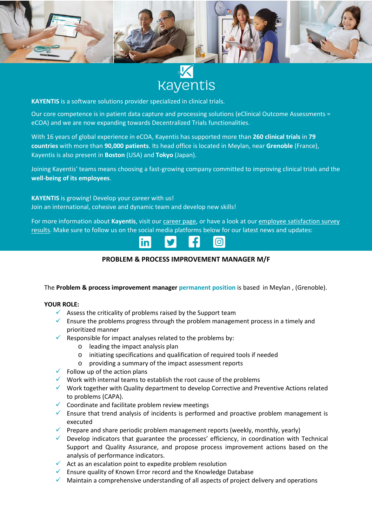

**Rayentis** 

**KAYENTIS** is a software solutions provider specialized in clinical trials.

Our core competence is in patient data capture and processing solutions (eClinical Outcome Assessments = eCOA) and we are now expanding towards Decentralized Trials functionalities.

With 16 years of global experience in eCOA, Kayentis has supported more than **260 clinical trials** in **79 countries** with more than **90,000 patients**. Its head office is located in Meylan, near **Grenoble** (France), Kayentis is also present in **Boston** (USA) and **Tokyo** (Japan).

Joining Kayentis' teams means choosing a fast-growing company committed to improving clinical trials and the **well-being of its employees**.

**KAYENTIS** is growing! Develop your career with us! Join an international, cohesive and dynamic team and develop new skills!

For more information about Kayentis, visit our career page, or have a look at our employee satisfaction survey results. Make sure to follow us on the social media platforms below for our latest news and updates:



## **PROBLEM & PROCESS IMPROVEMENT MANAGER M/F**

The **Problem & process improvement manager permanent position** is based in Meylan , (Grenoble).

## **YOUR ROLE:**

- $\checkmark$  Assess the criticality of problems raised by the Support team
- $\checkmark$  Ensure the problems progress through the problem management process in a timely and prioritized manner
- Responsible for impact analyses related to the problems by:
	- o leading the impact analysis plan
	- o initiating specifications and qualification of required tools if needed
	- o providing a summary of the impact assessment reports
- $\checkmark$  Follow up of the action plans
- $\checkmark$  Work with internal teams to establish the root cause of the problems
- $\checkmark$  Work together with Quality department to develop Corrective and Preventive Actions related to problems (CAPA).
- $\checkmark$  Coordinate and facilitate problem review meetings
- $\checkmark$  Ensure that trend analysis of incidents is performed and proactive problem management is executed
- $\checkmark$  Prepare and share periodic problem management reports (weekly, monthly, yearly)
- $\checkmark$  Develop indicators that guarantee the processes' efficiency, in coordination with Technical Support and Quality Assurance, and propose process improvement actions based on the analysis of performance indicators.
- $\checkmark$  Act as an escalation point to expedite problem resolution
- $\checkmark$  Ensure quality of Known Error record and the Knowledge Database
- $\checkmark$  Maintain a comprehensive understanding of all aspects of project delivery and operations